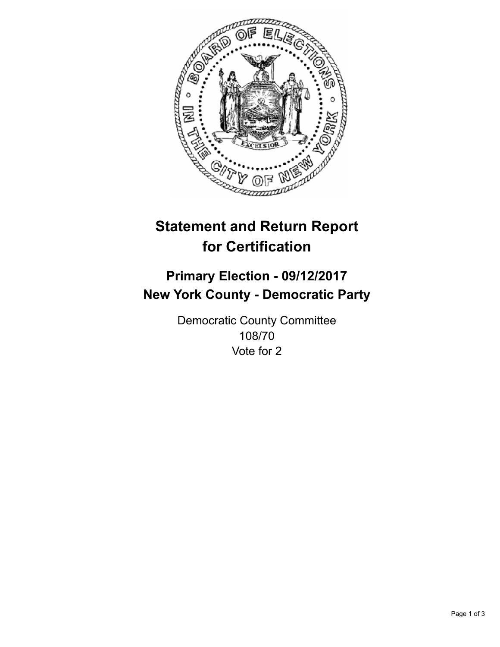

## **Statement and Return Report for Certification**

## **Primary Election - 09/12/2017 New York County - Democratic Party**

Democratic County Committee 108/70 Vote for 2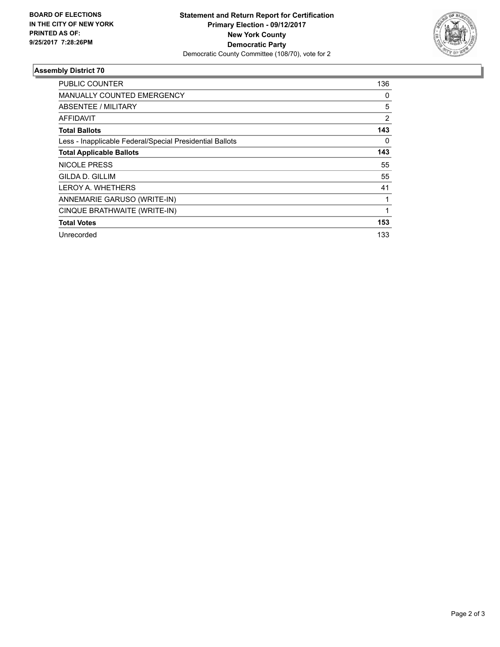

## **Assembly District 70**

| PUBLIC COUNTER                                           | 136            |
|----------------------------------------------------------|----------------|
| MANUALLY COUNTED EMERGENCY                               | 0              |
| ABSENTEE / MILITARY                                      | 5              |
| <b>AFFIDAVIT</b>                                         | $\overline{2}$ |
| <b>Total Ballots</b>                                     | 143            |
| Less - Inapplicable Federal/Special Presidential Ballots | 0              |
| <b>Total Applicable Ballots</b>                          | 143            |
| <b>NICOLE PRESS</b>                                      | 55             |
| <b>GILDA D. GILLIM</b>                                   | 55             |
| <b>LEROY A. WHETHERS</b>                                 | 41             |
| ANNEMARIE GARUSO (WRITE-IN)                              |                |
| CINQUE BRATHWAITE (WRITE-IN)                             |                |
| <b>Total Votes</b>                                       | 153            |
| Unrecorded                                               | 133            |